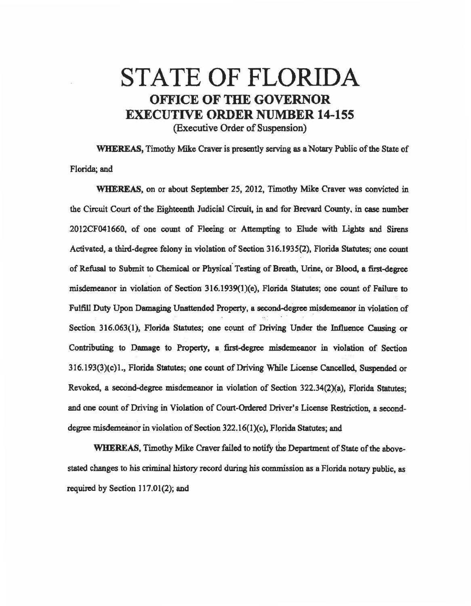## STATE OF FLORIDA OFFICE OF THE GOVERNOR EXECUTIVE ORDER NUMBER 14~155 (Executive Order of Suspension)

WHEREAS, Timothy Mike Craver is presently serving as a Notary Public of the State of Florida; and

WHEREAS, on or about September 25, 2012, Timothy Mike Craver was convicted in the Circuit Court of the Eighteenth Judicial Circuit, in and for Brevard County. in case number 20 l 2CF04 I 660. of one count of Fleeing or Attempting *to* Elude with Lights and Sirens Activated, a third-degree felony in violation of Section 316.1935(2), Florida Statutes; one count of Refusal to Submit to Chemical or Physical Testing of Breath, Urine, or Blood, a first-degree misdemeanor in violation of Section 316.1939(1)(e), Florida Statutes; one count of Failure to Fulfill Duty Upon Damaging Unattended Property, a second-degree misdemeanor in violation of Section 316.063(1), Florida Statutes; one count of Driving Under the Influence Causing or Contributing to Damage to Property, a. first.degree misdemeanor in violation of Section 316.193(3)(c)1., Florida Statutes; one count of Driving While License Cancelled, Suspended or Revoked, a second-degree misdemeanor in violation of Section 322.34(2)(a), Florida Statutes; and one count of Driving in Violation of Court-Ordered Driver's License Restriction, a seconddegree misdemeanor in violation of Section 322.16(1)(c), Florida Statutes; and

WHEREAS, Timothy Mike Craver failed to notify the Department of State of the abovestated changes to his criminal history record during his commission as a Florida notary public, as required by Section 117.01(2); and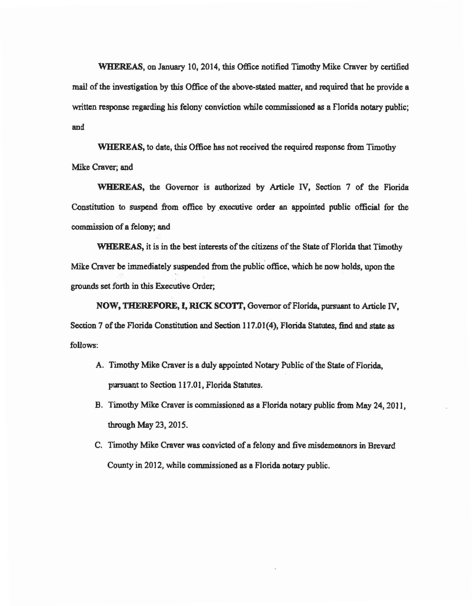WHEREAS, on January 10, 2014, this Office notified Timothy Mike Craver by certified mail of the investigation by this Office of the above-stated matter, and required that he provide a written response regarding his felony conviction while commissioned as a Florida notary public; and

WHEREAS, to date, this Office has not received the required response from Timothy Mike Craver; and

WHEREAS, the Governor is authorized by Article N, Section 7 of the Florida Constitution to suspend from office by executive order an appointed public official for the commission of a felony; and

WHEREAS, it is in the best interests of the citizens of the State of Florida that Timothy Mike Craver be immediately suspended from the public office, which he now holds, upon the grounds set forth in this Executive Order;

NOW, THEREFORE, I, RICK SCOTT, Governor of Florida, pursuant to Article IV, Section 7 of the Florida Constitution and Section 117.01(4), Florida Statutes, find and state as follows:

- A. Timothy Mike Craver is a duly appointed Notary Public of the State of Florida, pursuant to Section 117.01, Florida Statutes.
- B. Timothy Mike Craver is commissioned as a Florida notary public from May 24, 2011. through May 23, 2015.
- C. Timothy Mike Craver was convicted of a felony and five misdemeanors in Brevard County in 2012, while commissioned as a Florida notary public.